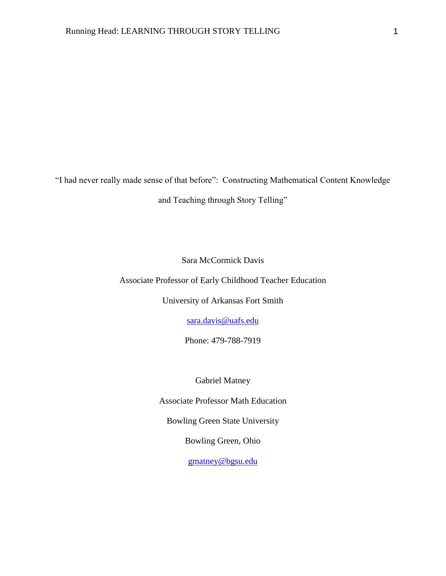"I had never really made sense of that before": Constructing Mathematical Content Knowledge and Teaching through Story Telling"

Sara McCormick Davis

Associate Professor of Early Childhood Teacher Education

University of Arkansas Fort Smith

[sara.davis@uafs.edu](mailto:sara.davis@uafs.edu)

Phone: 479-788-7919

Gabriel Matney

Associate Professor Math Education

Bowling Green State University

Bowling Green, Ohio

[gmatney@bgsu.edu](mailto:gmatney@bgsu.edu)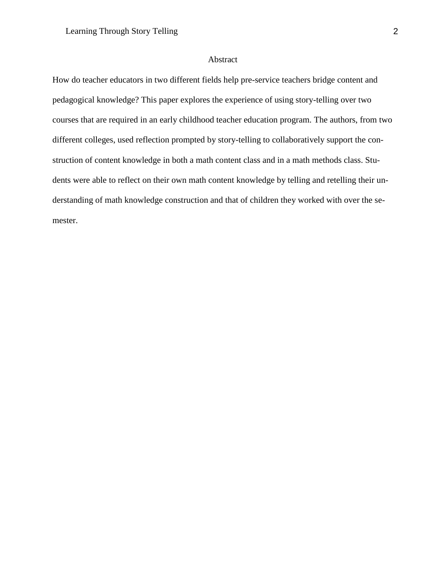## Abstract

How do teacher educators in two different fields help pre-service teachers bridge content and pedagogical knowledge? This paper explores the experience of using story-telling over two courses that are required in an early childhood teacher education program. The authors, from two different colleges, used reflection prompted by story-telling to collaboratively support the construction of content knowledge in both a math content class and in a math methods class. Students were able to reflect on their own math content knowledge by telling and retelling their understanding of math knowledge construction and that of children they worked with over the semester.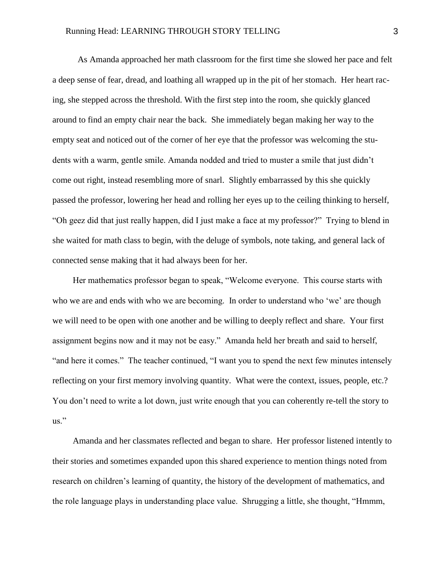As Amanda approached her math classroom for the first time she slowed her pace and felt a deep sense of fear, dread, and loathing all wrapped up in the pit of her stomach. Her heart racing, she stepped across the threshold. With the first step into the room, she quickly glanced around to find an empty chair near the back. She immediately began making her way to the empty seat and noticed out of the corner of her eye that the professor was welcoming the students with a warm, gentle smile. Amanda nodded and tried to muster a smile that just didn't come out right, instead resembling more of snarl. Slightly embarrassed by this she quickly passed the professor, lowering her head and rolling her eyes up to the ceiling thinking to herself, "Oh geez did that just really happen, did I just make a face at my professor?" Trying to blend in she waited for math class to begin, with the deluge of symbols, note taking, and general lack of connected sense making that it had always been for her.

Her mathematics professor began to speak, "Welcome everyone. This course starts with who we are and ends with who we are becoming. In order to understand who 'we' are though we will need to be open with one another and be willing to deeply reflect and share. Your first assignment begins now and it may not be easy." Amanda held her breath and said to herself, "and here it comes." The teacher continued, "I want you to spend the next few minutes intensely reflecting on your first memory involving quantity. What were the context, issues, people, etc.? You don't need to write a lot down, just write enough that you can coherently re-tell the story to us."

Amanda and her classmates reflected and began to share. Her professor listened intently to their stories and sometimes expanded upon this shared experience to mention things noted from research on children's learning of quantity, the history of the development of mathematics, and the role language plays in understanding place value. Shrugging a little, she thought, "Hmmm,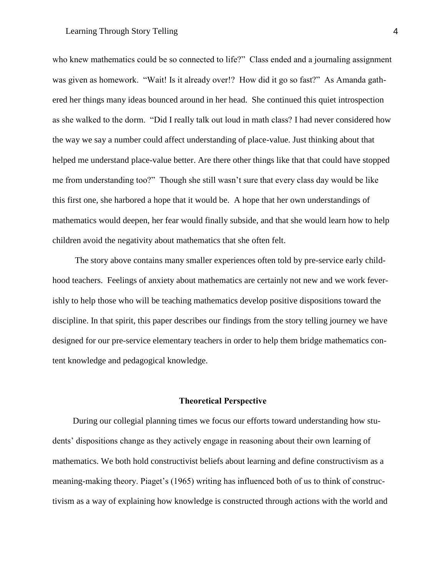#### Learning Through Story Telling 4

who knew mathematics could be so connected to life?" Class ended and a journaling assignment was given as homework. "Wait! Is it already over!? How did it go so fast?" As Amanda gathered her things many ideas bounced around in her head. She continued this quiet introspection as she walked to the dorm. "Did I really talk out loud in math class? I had never considered how the way we say a number could affect understanding of place-value. Just thinking about that helped me understand place-value better. Are there other things like that that could have stopped me from understanding too?" Though she still wasn't sure that every class day would be like this first one, she harbored a hope that it would be. A hope that her own understandings of mathematics would deepen, her fear would finally subside, and that she would learn how to help children avoid the negativity about mathematics that she often felt.

The story above contains many smaller experiences often told by pre-service early childhood teachers. Feelings of anxiety about mathematics are certainly not new and we work feverishly to help those who will be teaching mathematics develop positive dispositions toward the discipline. In that spirit, this paper describes our findings from the story telling journey we have designed for our pre-service elementary teachers in order to help them bridge mathematics content knowledge and pedagogical knowledge.

#### **Theoretical Perspective**

During our collegial planning times we focus our efforts toward understanding how students' dispositions change as they actively engage in reasoning about their own learning of mathematics. We both hold constructivist beliefs about learning and define constructivism as a meaning-making theory. Piaget's (1965) writing has influenced both of us to think of constructivism as a way of explaining how knowledge is constructed through actions with the world and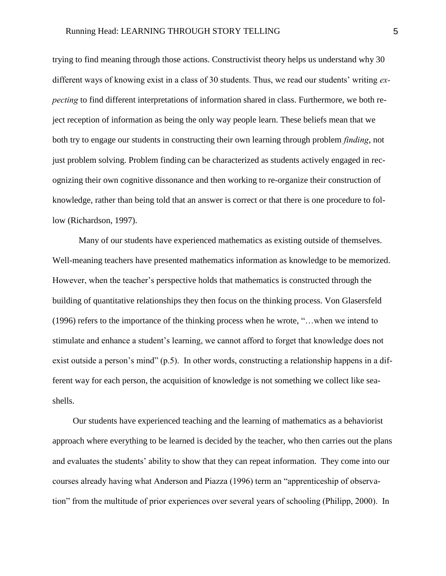trying to find meaning through those actions. Constructivist theory helps us understand why 30 different ways of knowing exist in a class of 30 students. Thus, we read our students' writing *expecting* to find different interpretations of information shared in class. Furthermore, we both reject reception of information as being the only way people learn. These beliefs mean that we both try to engage our students in constructing their own learning through problem *finding*, not just problem solving. Problem finding can be characterized as students actively engaged in recognizing their own cognitive dissonance and then working to re-organize their construction of knowledge, rather than being told that an answer is correct or that there is one procedure to follow (Richardson, 1997).

Many of our students have experienced mathematics as existing outside of themselves. Well-meaning teachers have presented mathematics information as knowledge to be memorized. However, when the teacher's perspective holds that mathematics is constructed through the building of quantitative relationships they then focus on the thinking process. Von Glasersfeld (1996) refers to the importance of the thinking process when he wrote, "…when we intend to stimulate and enhance a student's learning, we cannot afford to forget that knowledge does not exist outside a person's mind" (p.5). In other words, constructing a relationship happens in a different way for each person, the acquisition of knowledge is not something we collect like seashells.

Our students have experienced teaching and the learning of mathematics as a behaviorist approach where everything to be learned is decided by the teacher, who then carries out the plans and evaluates the students' ability to show that they can repeat information. They come into our courses already having what Anderson and Piazza (1996) term an "apprenticeship of observation" from the multitude of prior experiences over several years of schooling (Philipp, 2000). In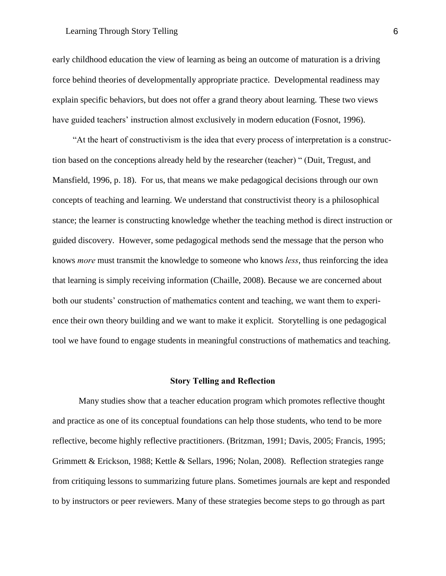#### Learning Through Story Telling 6

early childhood education the view of learning as being an outcome of maturation is a driving force behind theories of developmentally appropriate practice. Developmental readiness may explain specific behaviors, but does not offer a grand theory about learning. These two views have guided teachers' instruction almost exclusively in modern education (Fosnot, 1996).

"At the heart of constructivism is the idea that every process of interpretation is a construction based on the conceptions already held by the researcher (teacher) " (Duit, Tregust, and Mansfield, 1996, p. 18). For us, that means we make pedagogical decisions through our own concepts of teaching and learning. We understand that constructivist theory is a philosophical stance; the learner is constructing knowledge whether the teaching method is direct instruction or guided discovery. However, some pedagogical methods send the message that the person who knows *more* must transmit the knowledge to someone who knows *less*, thus reinforcing the idea that learning is simply receiving information (Chaille, 2008). Because we are concerned about both our students' construction of mathematics content and teaching, we want them to experience their own theory building and we want to make it explicit. Storytelling is one pedagogical tool we have found to engage students in meaningful constructions of mathematics and teaching.

# **Story Telling and Reflection**

Many studies show that a teacher education program which promotes reflective thought and practice as one of its conceptual foundations can help those students, who tend to be more reflective, become highly reflective practitioners. (Britzman, 1991; Davis, 2005; Francis, 1995; Grimmett & Erickson, 1988; Kettle & Sellars, 1996; Nolan, 2008). Reflection strategies range from critiquing lessons to summarizing future plans. Sometimes journals are kept and responded to by instructors or peer reviewers. Many of these strategies become steps to go through as part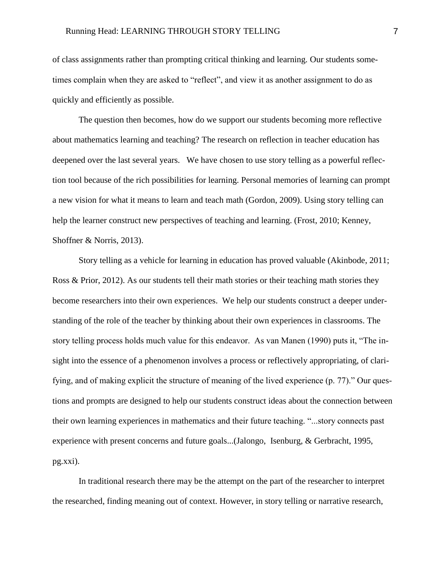of class assignments rather than prompting critical thinking and learning. Our students sometimes complain when they are asked to "reflect", and view it as another assignment to do as quickly and efficiently as possible.

The question then becomes, how do we support our students becoming more reflective about mathematics learning and teaching? The research on reflection in teacher education has deepened over the last several years. We have chosen to use story telling as a powerful reflection tool because of the rich possibilities for learning. Personal memories of learning can prompt a new vision for what it means to learn and teach math (Gordon, 2009). Using story telling can help the learner construct new perspectives of teaching and learning. (Frost, 2010; Kenney, Shoffner & Norris, 2013).

Story telling as a vehicle for learning in education has proved valuable (Akinbode, 2011; Ross & Prior, 2012). As our students tell their math stories or their teaching math stories they become researchers into their own experiences. We help our students construct a deeper understanding of the role of the teacher by thinking about their own experiences in classrooms. The story telling process holds much value for this endeavor. As van Manen (1990) puts it, "The insight into the essence of a phenomenon involves a process or reflectively appropriating, of clarifying, and of making explicit the structure of meaning of the lived experience (p. 77)." Our questions and prompts are designed to help our students construct ideas about the connection between their own learning experiences in mathematics and their future teaching. "...story connects past experience with present concerns and future goals...(Jalongo, Isenburg, & Gerbracht, 1995, pg.xxi).

In traditional research there may be the attempt on the part of the researcher to interpret the researched, finding meaning out of context. However, in story telling or narrative research,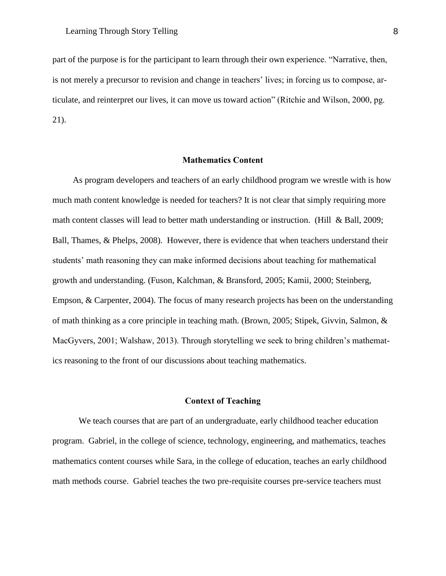part of the purpose is for the participant to learn through their own experience. "Narrative, then, is not merely a precursor to revision and change in teachers' lives; in forcing us to compose, articulate, and reinterpret our lives, it can move us toward action" (Ritchie and Wilson, 2000, pg. 21).

# **Mathematics Content**

As program developers and teachers of an early childhood program we wrestle with is how much math content knowledge is needed for teachers? It is not clear that simply requiring more math content classes will lead to better math understanding or instruction. (Hill & Ball, 2009; Ball, Thames, & Phelps, 2008). However, there is evidence that when teachers understand their students' math reasoning they can make informed decisions about teaching for mathematical growth and understanding. (Fuson, Kalchman, & Bransford, 2005; Kamii, 2000; Steinberg, Empson, & Carpenter, 2004). The focus of many research projects has been on the understanding of math thinking as a core principle in teaching math. (Brown, 2005; Stipek, Givvin, Salmon, & MacGyvers, 2001; Walshaw, 2013). Through storytelling we seek to bring children's mathematics reasoning to the front of our discussions about teaching mathematics.

### **Context of Teaching**

We teach courses that are part of an undergraduate, early childhood teacher education program. Gabriel, in the college of science, technology, engineering, and mathematics, teaches mathematics content courses while Sara, in the college of education, teaches an early childhood math methods course. Gabriel teaches the two pre-requisite courses pre-service teachers must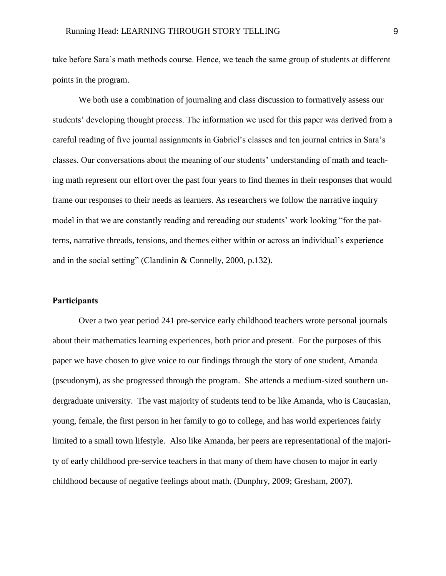take before Sara's math methods course. Hence, we teach the same group of students at different points in the program.

We both use a combination of journaling and class discussion to formatively assess our students' developing thought process. The information we used for this paper was derived from a careful reading of five journal assignments in Gabriel's classes and ten journal entries in Sara's classes. Our conversations about the meaning of our students' understanding of math and teaching math represent our effort over the past four years to find themes in their responses that would frame our responses to their needs as learners. As researchers we follow the narrative inquiry model in that we are constantly reading and rereading our students' work looking "for the patterns, narrative threads, tensions, and themes either within or across an individual's experience and in the social setting" (Clandinin & Connelly, 2000, p.132).

# **Participants**

Over a two year period 241 pre-service early childhood teachers wrote personal journals about their mathematics learning experiences, both prior and present. For the purposes of this paper we have chosen to give voice to our findings through the story of one student, Amanda (pseudonym), as she progressed through the program. She attends a medium-sized southern undergraduate university. The vast majority of students tend to be like Amanda, who is Caucasian, young, female, the first person in her family to go to college, and has world experiences fairly limited to a small town lifestyle. Also like Amanda, her peers are representational of the majority of early childhood pre-service teachers in that many of them have chosen to major in early childhood because of negative feelings about math. (Dunphry, 2009; Gresham, 2007).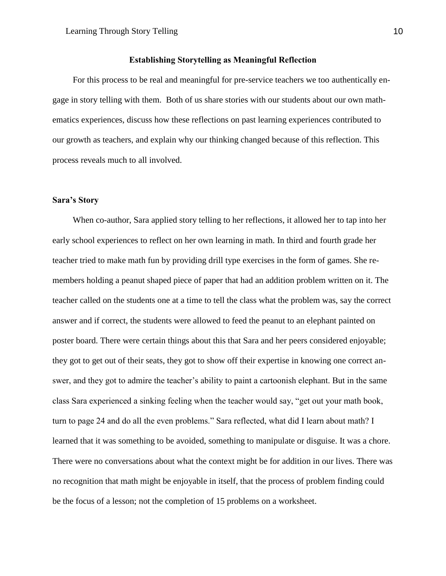# **Establishing Storytelling as Meaningful Reflection**

For this process to be real and meaningful for pre-service teachers we too authentically engage in story telling with them. Both of us share stories with our students about our own mathematics experiences, discuss how these reflections on past learning experiences contributed to our growth as teachers, and explain why our thinking changed because of this reflection. This process reveals much to all involved.

### **Sara's Story**

When co-author, Sara applied story telling to her reflections, it allowed her to tap into her early school experiences to reflect on her own learning in math. In third and fourth grade her teacher tried to make math fun by providing drill type exercises in the form of games. She remembers holding a peanut shaped piece of paper that had an addition problem written on it. The teacher called on the students one at a time to tell the class what the problem was, say the correct answer and if correct, the students were allowed to feed the peanut to an elephant painted on poster board. There were certain things about this that Sara and her peers considered enjoyable; they got to get out of their seats, they got to show off their expertise in knowing one correct answer, and they got to admire the teacher's ability to paint a cartoonish elephant. But in the same class Sara experienced a sinking feeling when the teacher would say, "get out your math book, turn to page 24 and do all the even problems." Sara reflected, what did I learn about math? I learned that it was something to be avoided, something to manipulate or disguise. It was a chore. There were no conversations about what the context might be for addition in our lives. There was no recognition that math might be enjoyable in itself, that the process of problem finding could be the focus of a lesson; not the completion of 15 problems on a worksheet.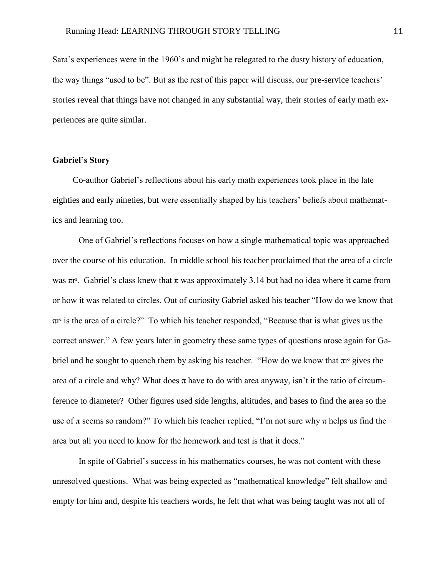Sara's experiences were in the 1960's and might be relegated to the dusty history of education, the way things "used to be". But as the rest of this paper will discuss, our pre-service teachers' stories reveal that things have not changed in any substantial way, their stories of early math experiences are quite similar.

# **Gabriel's Story**

Co-author Gabriel's reflections about his early math experiences took place in the late eighties and early nineties, but were essentially shaped by his teachers' beliefs about mathematics and learning too.

One of Gabriel's reflections focuses on how a single mathematical topic was approached over the course of his education. In middle school his teacher proclaimed that the area of a circle was  $\pi r^2$ . Gabriel's class knew that  $\pi$  was approximately 3.14 but had no idea where it came from or how it was related to circles. Out of curiosity Gabriel asked his teacher "How do we know that  $\pi r^2$  is the area of a circle?" To which his teacher responded, "Because that is what gives us the correct answer." A few years later in geometry these same types of questions arose again for Gabriel and he sought to quench them by asking his teacher. "How do we know that  $\pi r^2$  gives the area of a circle and why? What does  $\pi$  have to do with area anyway, isn't it the ratio of circumference to diameter? Other figures used side lengths, altitudes, and bases to find the area so the use of  $\pi$  seems so random?" To which his teacher replied, "I'm not sure why  $\pi$  helps us find the area but all you need to know for the homework and test is that it does."

In spite of Gabriel's success in his mathematics courses, he was not content with these unresolved questions. What was being expected as "mathematical knowledge" felt shallow and empty for him and, despite his teachers words, he felt that what was being taught was not all of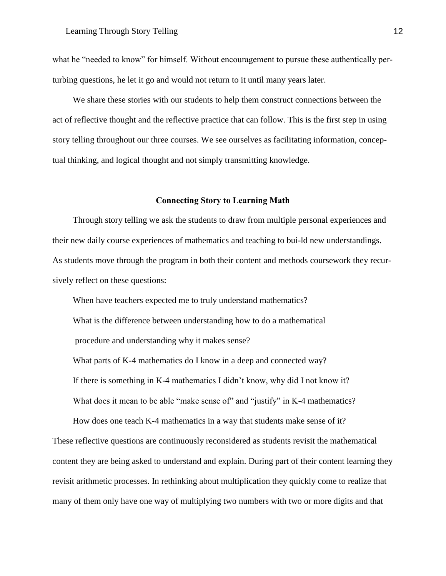what he "needed to know" for himself. Without encouragement to pursue these authentically perturbing questions, he let it go and would not return to it until many years later.

We share these stories with our students to help them construct connections between the act of reflective thought and the reflective practice that can follow. This is the first step in using story telling throughout our three courses. We see ourselves as facilitating information, conceptual thinking, and logical thought and not simply transmitting knowledge.

# **Connecting Story to Learning Math**

Through story telling we ask the students to draw from multiple personal experiences and their new daily course experiences of mathematics and teaching to bui-ld new understandings. As students move through the program in both their content and methods coursework they recursively reflect on these questions:

When have teachers expected me to truly understand mathematics?

What is the difference between understanding how to do a mathematical

procedure and understanding why it makes sense?

What parts of K-4 mathematics do I know in a deep and connected way?

If there is something in K-4 mathematics I didn't know, why did I not know it?

What does it mean to be able "make sense of" and "justify" in K-4 mathematics?

How does one teach K-4 mathematics in a way that students make sense of it?

These reflective questions are continuously reconsidered as students revisit the mathematical content they are being asked to understand and explain. During part of their content learning they revisit arithmetic processes. In rethinking about multiplication they quickly come to realize that many of them only have one way of multiplying two numbers with two or more digits and that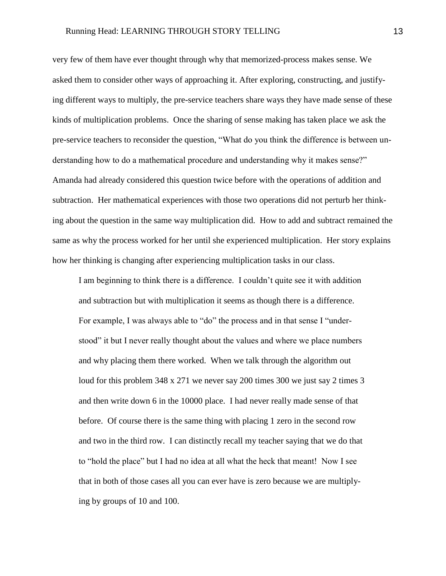very few of them have ever thought through why that memorized-process makes sense. We asked them to consider other ways of approaching it. After exploring, constructing, and justifying different ways to multiply, the pre-service teachers share ways they have made sense of these kinds of multiplication problems. Once the sharing of sense making has taken place we ask the pre-service teachers to reconsider the question, "What do you think the difference is between understanding how to do a mathematical procedure and understanding why it makes sense?" Amanda had already considered this question twice before with the operations of addition and subtraction. Her mathematical experiences with those two operations did not perturb her thinking about the question in the same way multiplication did. How to add and subtract remained the same as why the process worked for her until she experienced multiplication. Her story explains how her thinking is changing after experiencing multiplication tasks in our class.

I am beginning to think there is a difference. I couldn't quite see it with addition and subtraction but with multiplication it seems as though there is a difference. For example, I was always able to "do" the process and in that sense I "understood" it but I never really thought about the values and where we place numbers and why placing them there worked. When we talk through the algorithm out loud for this problem 348 x 271 we never say 200 times 300 we just say 2 times 3 and then write down 6 in the 10000 place. I had never really made sense of that before. Of course there is the same thing with placing 1 zero in the second row and two in the third row. I can distinctly recall my teacher saying that we do that to "hold the place" but I had no idea at all what the heck that meant! Now I see that in both of those cases all you can ever have is zero because we are multiplying by groups of 10 and 100.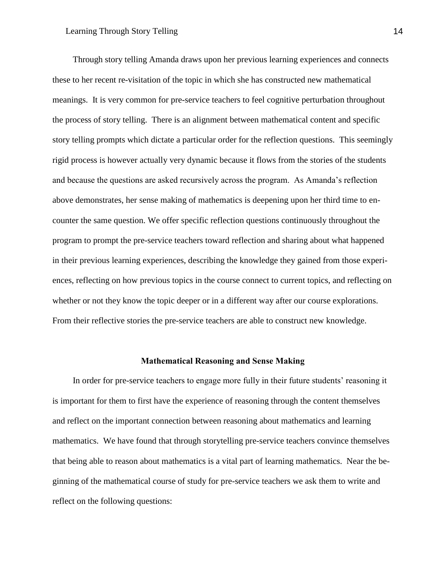Through story telling Amanda draws upon her previous learning experiences and connects these to her recent re-visitation of the topic in which she has constructed new mathematical meanings. It is very common for pre-service teachers to feel cognitive perturbation throughout the process of story telling. There is an alignment between mathematical content and specific story telling prompts which dictate a particular order for the reflection questions. This seemingly rigid process is however actually very dynamic because it flows from the stories of the students and because the questions are asked recursively across the program. As Amanda's reflection above demonstrates, her sense making of mathematics is deepening upon her third time to encounter the same question. We offer specific reflection questions continuously throughout the program to prompt the pre-service teachers toward reflection and sharing about what happened in their previous learning experiences, describing the knowledge they gained from those experiences, reflecting on how previous topics in the course connect to current topics, and reflecting on whether or not they know the topic deeper or in a different way after our course explorations. From their reflective stories the pre-service teachers are able to construct new knowledge.

#### **Mathematical Reasoning and Sense Making**

In order for pre-service teachers to engage more fully in their future students' reasoning it is important for them to first have the experience of reasoning through the content themselves and reflect on the important connection between reasoning about mathematics and learning mathematics. We have found that through storytelling pre-service teachers convince themselves that being able to reason about mathematics is a vital part of learning mathematics. Near the beginning of the mathematical course of study for pre-service teachers we ask them to write and reflect on the following questions: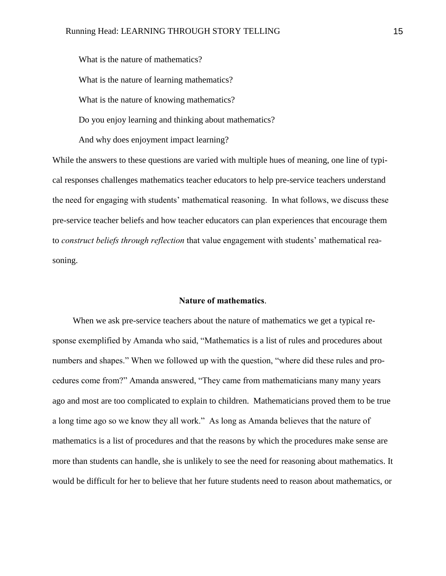What is the nature of mathematics? What is the nature of learning mathematics? What is the nature of knowing mathematics? Do you enjoy learning and thinking about mathematics? And why does enjoyment impact learning?

While the answers to these questions are varied with multiple hues of meaning, one line of typical responses challenges mathematics teacher educators to help pre-service teachers understand the need for engaging with students' mathematical reasoning. In what follows, we discuss these pre-service teacher beliefs and how teacher educators can plan experiences that encourage them to *construct beliefs through reflection* that value engagement with students' mathematical reasoning.

# **Nature of mathematics**.

When we ask pre-service teachers about the nature of mathematics we get a typical response exemplified by Amanda who said, "Mathematics is a list of rules and procedures about numbers and shapes." When we followed up with the question, "where did these rules and procedures come from?" Amanda answered, "They came from mathematicians many many years ago and most are too complicated to explain to children. Mathematicians proved them to be true a long time ago so we know they all work." As long as Amanda believes that the nature of mathematics is a list of procedures and that the reasons by which the procedures make sense are more than students can handle, she is unlikely to see the need for reasoning about mathematics. It would be difficult for her to believe that her future students need to reason about mathematics, or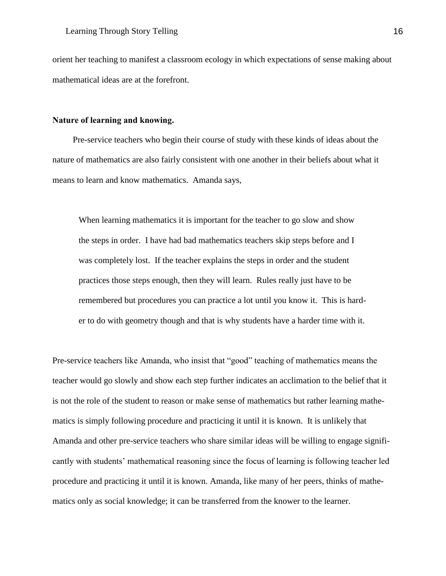orient her teaching to manifest a classroom ecology in which expectations of sense making about mathematical ideas are at the forefront.

# **Nature of learning and knowing.**

Pre-service teachers who begin their course of study with these kinds of ideas about the nature of mathematics are also fairly consistent with one another in their beliefs about what it means to learn and know mathematics. Amanda says,

When learning mathematics it is important for the teacher to go slow and show the steps in order. I have had bad mathematics teachers skip steps before and I was completely lost. If the teacher explains the steps in order and the student practices those steps enough, then they will learn. Rules really just have to be remembered but procedures you can practice a lot until you know it. This is harder to do with geometry though and that is why students have a harder time with it.

Pre-service teachers like Amanda, who insist that "good" teaching of mathematics means the teacher would go slowly and show each step further indicates an acclimation to the belief that it is not the role of the student to reason or make sense of mathematics but rather learning mathematics is simply following procedure and practicing it until it is known. It is unlikely that Amanda and other pre-service teachers who share similar ideas will be willing to engage significantly with students' mathematical reasoning since the focus of learning is following teacher led procedure and practicing it until it is known. Amanda, like many of her peers, thinks of mathematics only as social knowledge; it can be transferred from the knower to the learner.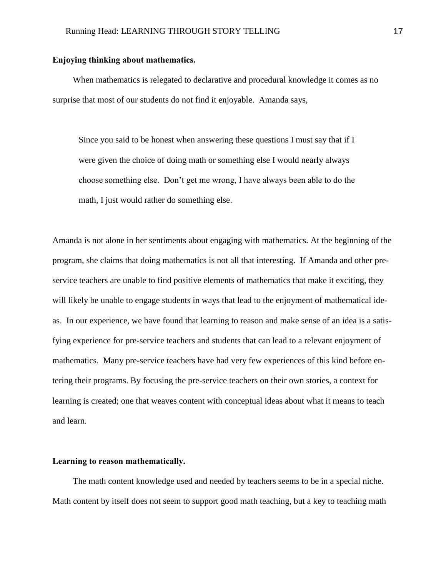# **Enjoying thinking about mathematics.**

When mathematics is relegated to declarative and procedural knowledge it comes as no surprise that most of our students do not find it enjoyable. Amanda says,

Since you said to be honest when answering these questions I must say that if I were given the choice of doing math or something else I would nearly always choose something else. Don't get me wrong, I have always been able to do the math, I just would rather do something else.

Amanda is not alone in her sentiments about engaging with mathematics. At the beginning of the program, she claims that doing mathematics is not all that interesting. If Amanda and other preservice teachers are unable to find positive elements of mathematics that make it exciting, they will likely be unable to engage students in ways that lead to the enjoyment of mathematical ideas. In our experience, we have found that learning to reason and make sense of an idea is a satisfying experience for pre-service teachers and students that can lead to a relevant enjoyment of mathematics. Many pre-service teachers have had very few experiences of this kind before entering their programs. By focusing the pre-service teachers on their own stories, a context for learning is created; one that weaves content with conceptual ideas about what it means to teach and learn.

### **Learning to reason mathematically.**

The math content knowledge used and needed by teachers seems to be in a special niche. Math content by itself does not seem to support good math teaching, but a key to teaching math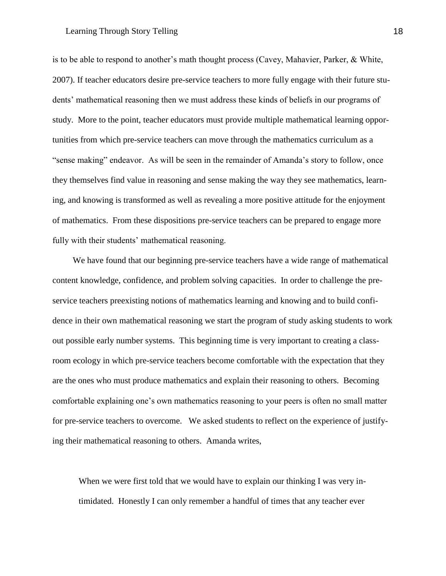#### Learning Through Story Telling 18

is to be able to respond to another's math thought process (Cavey, Mahavier, Parker, & White, 2007). If teacher educators desire pre-service teachers to more fully engage with their future students' mathematical reasoning then we must address these kinds of beliefs in our programs of study. More to the point, teacher educators must provide multiple mathematical learning opportunities from which pre-service teachers can move through the mathematics curriculum as a "sense making" endeavor. As will be seen in the remainder of Amanda's story to follow, once they themselves find value in reasoning and sense making the way they see mathematics, learning, and knowing is transformed as well as revealing a more positive attitude for the enjoyment of mathematics. From these dispositions pre-service teachers can be prepared to engage more fully with their students' mathematical reasoning.

We have found that our beginning pre-service teachers have a wide range of mathematical content knowledge, confidence, and problem solving capacities. In order to challenge the preservice teachers preexisting notions of mathematics learning and knowing and to build confidence in their own mathematical reasoning we start the program of study asking students to work out possible early number systems. This beginning time is very important to creating a classroom ecology in which pre-service teachers become comfortable with the expectation that they are the ones who must produce mathematics and explain their reasoning to others. Becoming comfortable explaining one's own mathematics reasoning to your peers is often no small matter for pre-service teachers to overcome. We asked students to reflect on the experience of justifying their mathematical reasoning to others. Amanda writes,

When we were first told that we would have to explain our thinking I was very intimidated. Honestly I can only remember a handful of times that any teacher ever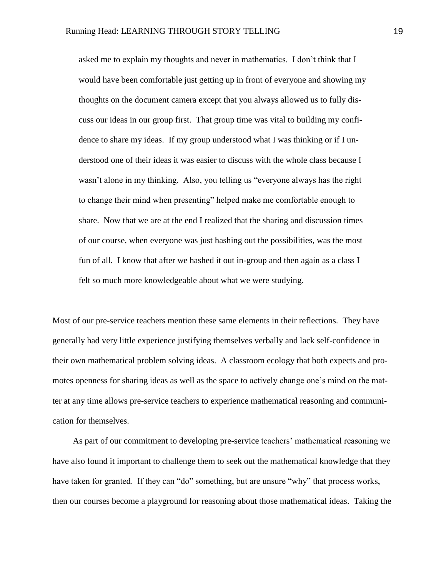asked me to explain my thoughts and never in mathematics. I don't think that I would have been comfortable just getting up in front of everyone and showing my thoughts on the document camera except that you always allowed us to fully discuss our ideas in our group first. That group time was vital to building my confidence to share my ideas. If my group understood what I was thinking or if I understood one of their ideas it was easier to discuss with the whole class because I wasn't alone in my thinking. Also, you telling us "everyone always has the right to change their mind when presenting" helped make me comfortable enough to share. Now that we are at the end I realized that the sharing and discussion times of our course, when everyone was just hashing out the possibilities, was the most fun of all. I know that after we hashed it out in-group and then again as a class I felt so much more knowledgeable about what we were studying.

Most of our pre-service teachers mention these same elements in their reflections. They have generally had very little experience justifying themselves verbally and lack self-confidence in their own mathematical problem solving ideas. A classroom ecology that both expects and promotes openness for sharing ideas as well as the space to actively change one's mind on the matter at any time allows pre-service teachers to experience mathematical reasoning and communication for themselves.

As part of our commitment to developing pre-service teachers' mathematical reasoning we have also found it important to challenge them to seek out the mathematical knowledge that they have taken for granted. If they can "do" something, but are unsure "why" that process works, then our courses become a playground for reasoning about those mathematical ideas. Taking the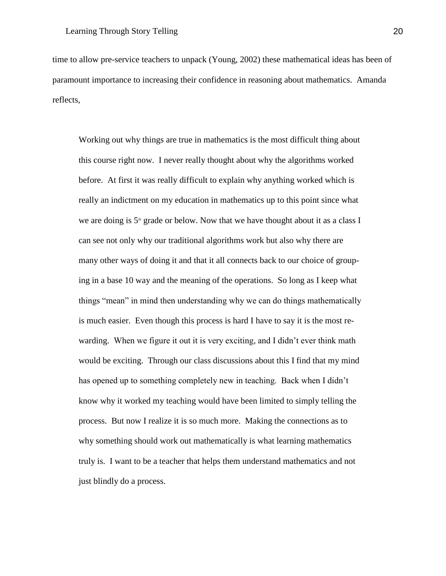time to allow pre-service teachers to unpack (Young, 2002) these mathematical ideas has been of paramount importance to increasing their confidence in reasoning about mathematics. Amanda reflects,

Working out why things are true in mathematics is the most difficult thing about this course right now. I never really thought about why the algorithms worked before. At first it was really difficult to explain why anything worked which is really an indictment on my education in mathematics up to this point since what we are doing is  $5<sup>th</sup>$  grade or below. Now that we have thought about it as a class I can see not only why our traditional algorithms work but also why there are many other ways of doing it and that it all connects back to our choice of grouping in a base 10 way and the meaning of the operations. So long as I keep what things "mean" in mind then understanding why we can do things mathematically is much easier. Even though this process is hard I have to say it is the most rewarding. When we figure it out it is very exciting, and I didn't ever think math would be exciting. Through our class discussions about this I find that my mind has opened up to something completely new in teaching. Back when I didn't know why it worked my teaching would have been limited to simply telling the process. But now I realize it is so much more. Making the connections as to why something should work out mathematically is what learning mathematics truly is. I want to be a teacher that helps them understand mathematics and not just blindly do a process.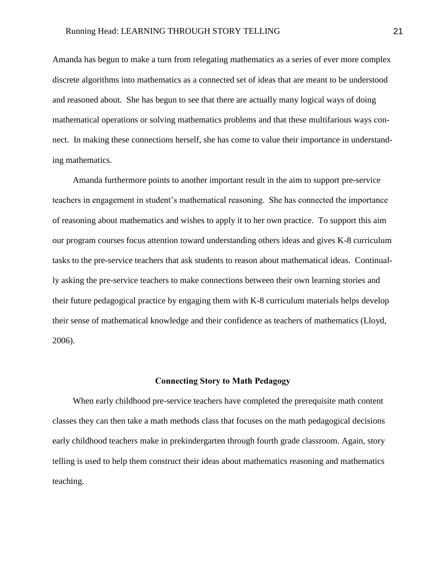Amanda has begun to make a turn from relegating mathematics as a series of ever more complex discrete algorithms into mathematics as a connected set of ideas that are meant to be understood and reasoned about. She has begun to see that there are actually many logical ways of doing mathematical operations or solving mathematics problems and that these multifarious ways connect. In making these connections herself, she has come to value their importance in understanding mathematics.

Amanda furthermore points to another important result in the aim to support pre-service teachers in engagement in student's mathematical reasoning. She has connected the importance of reasoning about mathematics and wishes to apply it to her own practice. To support this aim our program courses focus attention toward understanding others ideas and gives K-8 curriculum tasks to the pre-service teachers that ask students to reason about mathematical ideas. Continually asking the pre-service teachers to make connections between their own learning stories and their future pedagogical practice by engaging them with K-8 curriculum materials helps develop their sense of mathematical knowledge and their confidence as teachers of mathematics (Lloyd, 2006).

### **Connecting Story to Math Pedagogy**

When early childhood pre-service teachers have completed the prerequisite math content classes they can then take a math methods class that focuses on the math pedagogical decisions early childhood teachers make in prekindergarten through fourth grade classroom. Again, story telling is used to help them construct their ideas about mathematics reasoning and mathematics teaching.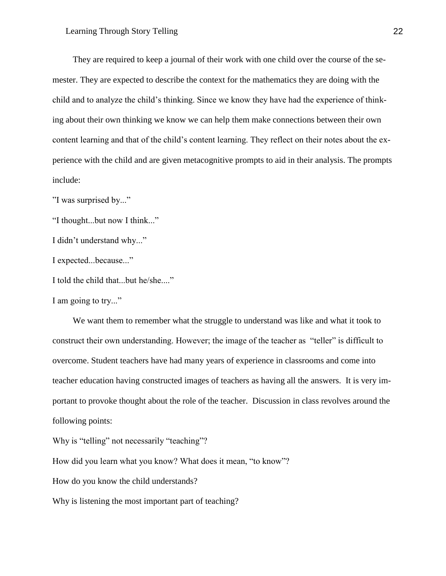They are required to keep a journal of their work with one child over the course of the semester. They are expected to describe the context for the mathematics they are doing with the child and to analyze the child's thinking. Since we know they have had the experience of thinking about their own thinking we know we can help them make connections between their own content learning and that of the child's content learning. They reflect on their notes about the experience with the child and are given metacognitive prompts to aid in their analysis. The prompts include:

"I was surprised by..."

"I thought...but now I think..."

I didn't understand why..."

I expected...because..."

I told the child that...but he/she...."

I am going to try..."

We want them to remember what the struggle to understand was like and what it took to construct their own understanding. However; the image of the teacher as "teller" is difficult to overcome. Student teachers have had many years of experience in classrooms and come into teacher education having constructed images of teachers as having all the answers. It is very important to provoke thought about the role of the teacher. Discussion in class revolves around the following points:

Why is "telling" not necessarily "teaching"?

How did you learn what you know? What does it mean, "to know"?

How do you know the child understands?

Why is listening the most important part of teaching?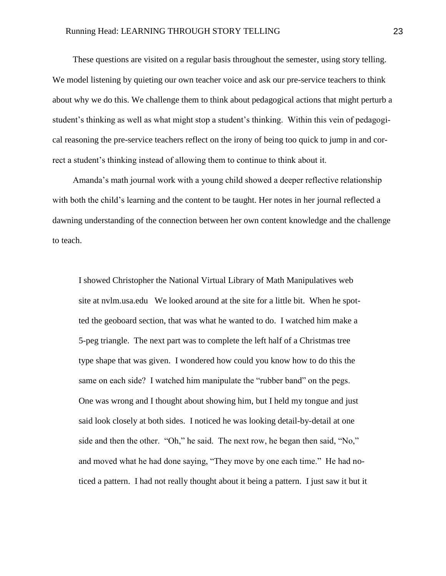These questions are visited on a regular basis throughout the semester, using story telling. We model listening by quieting our own teacher voice and ask our pre-service teachers to think about why we do this. We challenge them to think about pedagogical actions that might perturb a student's thinking as well as what might stop a student's thinking. Within this vein of pedagogical reasoning the pre-service teachers reflect on the irony of being too quick to jump in and correct a student's thinking instead of allowing them to continue to think about it.

Amanda's math journal work with a young child showed a deeper reflective relationship with both the child's learning and the content to be taught. Her notes in her journal reflected a dawning understanding of the connection between her own content knowledge and the challenge to teach.

I showed Christopher the National Virtual Library of Math Manipulatives web site at nvlm.usa.edu We looked around at the site for a little bit. When he spotted the geoboard section, that was what he wanted to do. I watched him make a 5-peg triangle. The next part was to complete the left half of a Christmas tree type shape that was given. I wondered how could you know how to do this the same on each side? I watched him manipulate the "rubber band" on the pegs. One was wrong and I thought about showing him, but I held my tongue and just said look closely at both sides. I noticed he was looking detail-by-detail at one side and then the other. "Oh," he said. The next row, he began then said, "No," and moved what he had done saying, "They move by one each time." He had noticed a pattern. I had not really thought about it being a pattern. I just saw it but it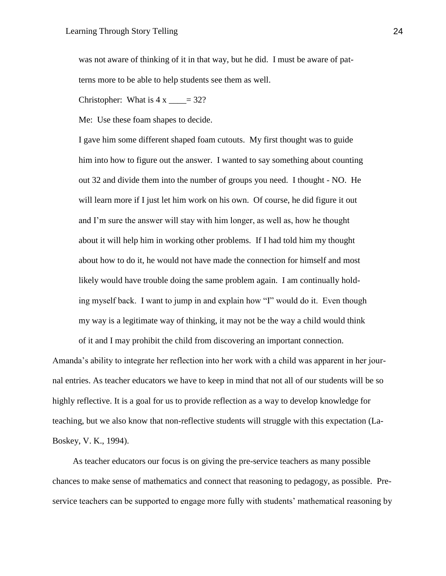was not aware of thinking of it in that way, but he did. I must be aware of patterns more to be able to help students see them as well.

Christopher: What is  $4x \underline{\hspace{1cm}} = 32$ ?

Me: Use these foam shapes to decide.

I gave him some different shaped foam cutouts. My first thought was to guide him into how to figure out the answer. I wanted to say something about counting out 32 and divide them into the number of groups you need. I thought - NO. He will learn more if I just let him work on his own. Of course, he did figure it out and I'm sure the answer will stay with him longer, as well as, how he thought about it will help him in working other problems. If I had told him my thought about how to do it, he would not have made the connection for himself and most likely would have trouble doing the same problem again. I am continually holding myself back. I want to jump in and explain how "I" would do it. Even though my way is a legitimate way of thinking, it may not be the way a child would think

Amanda's ability to integrate her reflection into her work with a child was apparent in her journal entries. As teacher educators we have to keep in mind that not all of our students will be so highly reflective. It is a goal for us to provide reflection as a way to develop knowledge for teaching, but we also know that non-reflective students will struggle with this expectation (La-Boskey, V. K., 1994).

of it and I may prohibit the child from discovering an important connection.

As teacher educators our focus is on giving the pre-service teachers as many possible chances to make sense of mathematics and connect that reasoning to pedagogy, as possible. Preservice teachers can be supported to engage more fully with students' mathematical reasoning by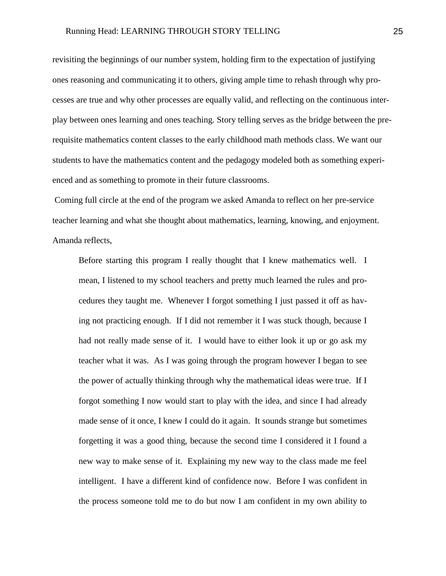revisiting the beginnings of our number system, holding firm to the expectation of justifying ones reasoning and communicating it to others, giving ample time to rehash through why processes are true and why other processes are equally valid, and reflecting on the continuous interplay between ones learning and ones teaching. Story telling serves as the bridge between the prerequisite mathematics content classes to the early childhood math methods class. We want our students to have the mathematics content and the pedagogy modeled both as something experienced and as something to promote in their future classrooms.

Coming full circle at the end of the program we asked Amanda to reflect on her pre-service teacher learning and what she thought about mathematics, learning, knowing, and enjoyment. Amanda reflects,

Before starting this program I really thought that I knew mathematics well. I mean, I listened to my school teachers and pretty much learned the rules and procedures they taught me. Whenever I forgot something I just passed it off as having not practicing enough. If I did not remember it I was stuck though, because I had not really made sense of it. I would have to either look it up or go ask my teacher what it was. As I was going through the program however I began to see the power of actually thinking through why the mathematical ideas were true. If I forgot something I now would start to play with the idea, and since I had already made sense of it once, I knew I could do it again. It sounds strange but sometimes forgetting it was a good thing, because the second time I considered it I found a new way to make sense of it. Explaining my new way to the class made me feel intelligent. I have a different kind of confidence now. Before I was confident in the process someone told me to do but now I am confident in my own ability to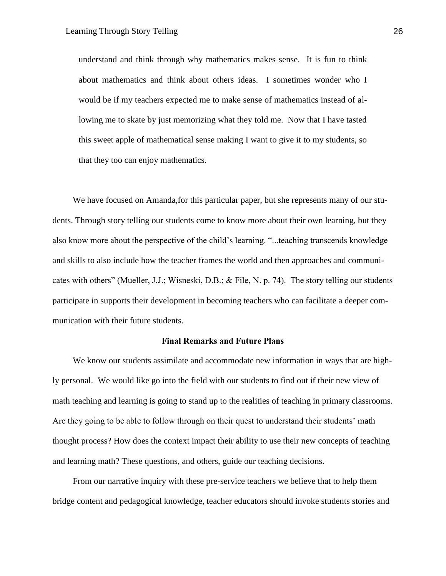understand and think through why mathematics makes sense. It is fun to think about mathematics and think about others ideas. I sometimes wonder who I would be if my teachers expected me to make sense of mathematics instead of allowing me to skate by just memorizing what they told me. Now that I have tasted this sweet apple of mathematical sense making I want to give it to my students, so that they too can enjoy mathematics.

We have focused on Amanda,for this particular paper, but she represents many of our students. Through story telling our students come to know more about their own learning, but they also know more about the perspective of the child's learning. "...teaching transcends knowledge and skills to also include how the teacher frames the world and then approaches and communicates with others" (Mueller, J.J.; Wisneski, D.B.; & File, N. p. 74). The story telling our students participate in supports their development in becoming teachers who can facilitate a deeper communication with their future students.

## **Final Remarks and Future Plans**

We know our students assimilate and accommodate new information in ways that are highly personal. We would like go into the field with our students to find out if their new view of math teaching and learning is going to stand up to the realities of teaching in primary classrooms. Are they going to be able to follow through on their quest to understand their students' math thought process? How does the context impact their ability to use their new concepts of teaching and learning math? These questions, and others, guide our teaching decisions.

From our narrative inquiry with these pre-service teachers we believe that to help them bridge content and pedagogical knowledge, teacher educators should invoke students stories and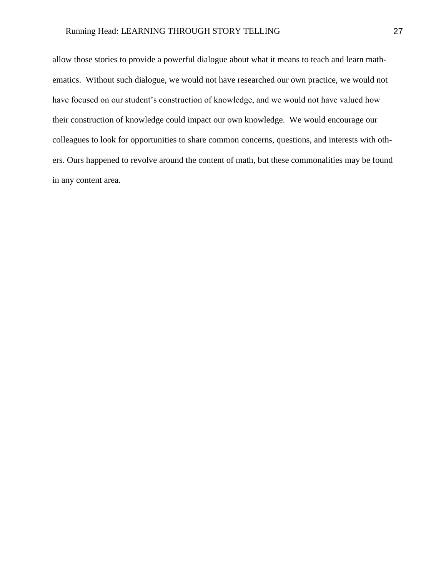allow those stories to provide a powerful dialogue about what it means to teach and learn mathematics. Without such dialogue, we would not have researched our own practice, we would not have focused on our student's construction of knowledge, and we would not have valued how their construction of knowledge could impact our own knowledge. We would encourage our colleagues to look for opportunities to share common concerns, questions, and interests with others. Ours happened to revolve around the content of math, but these commonalities may be found in any content area.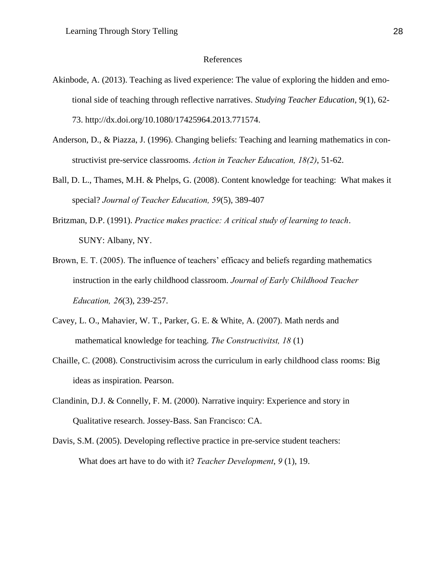### References

- Akinbode, A. (2013). Teaching as lived experience: The value of exploring the hidden and emotional side of teaching through reflective narratives. *Studying Teacher Education*, 9(1), 62- 73. http://dx.doi.org/10.1080/17425964.2013.771574.
- Anderson, D., & Piazza, J. (1996). Changing beliefs: Teaching and learning mathematics in constructivist pre-service classrooms. *Action in Teacher Education, 18(2)*, 51-62.
- Ball, D. L., Thames, M.H. & Phelps, G. (2008). Content knowledge for teaching: What makes it special? *Journal of Teacher Education, 59*(5), 389-407
- Britzman, D.P. (1991). *Practice makes practice: A critical study of learning to teach*. SUNY: Albany, NY.
- Brown, E. T. (2005). The influence of teachers' efficacy and beliefs regarding mathematics instruction in the early childhood classroom. *Journal of Early Childhood Teacher Education, 26*(3), 239-257.
- Cavey, L. O., Mahavier, W. T., Parker, G. E. & White, A. (2007). Math nerds and mathematical knowledge for teaching. *The Constructivitst, 18* (1)
- Chaille, C. (2008). Constructivisim across the curriculum in early childhood class rooms: Big ideas as inspiration. Pearson.
- Clandinin, D.J. & Connelly, F. M. (2000). Narrative inquiry: Experience and story in Qualitative research. Jossey-Bass. San Francisco: CA.
- Davis, S.M. (2005). Developing reflective practice in pre-service student teachers: What does art have to do with it? *Teacher Development*, *9* (1), 19.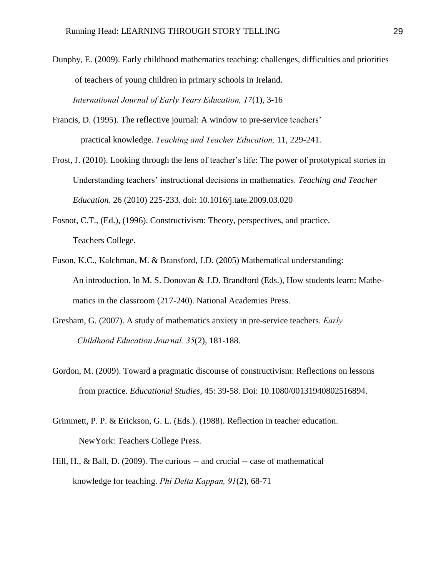- Dunphy, E. (2009). Early childhood mathematics teaching: challenges, difficulties and priorities of teachers of young children in primary schools in Ireland. *International Journal of Early Years Education, 17*(1), 3-16
- Francis, D. (1995). The reflective journal: A window to pre-service teachers' practical knowledge. *Teaching and Teacher Education,* 11, 229-241.
- Frost, J. (2010). Looking through the lens of teacher's life: The power of prototypical stories in Understanding teachers' instructional decisions in mathematics. *Teaching and Teacher Education*. 26 (2010) 225-233. doi: 10.1016/j.tate.2009.03.020
- Fosnot, C.T., (Ed.), (1996). Constructivism: Theory, perspectives, and practice. Teachers College.
- Fuson, K.C., Kalchman, M. & Bransford, J.D. (2005) Mathematical understanding: An introduction. In M. S. Donovan & J.D. Brandford (Eds.), How students learn: Mathematics in the classroom (217-240). National Academies Press.
- Gresham, G. (2007). A study of mathematics anxiety in pre-service teachers. *Early Childhood Education Journal. 35*(2), 181-188.
- Gordon, M. (2009). Toward a pragmatic discourse of constructivism: Reflections on lessons from practice. *Educational Studies*, 45: 39-58. Doi: 10.1080/00131940802516894.
- Grimmett, P. P. & Erickson, G. L. (Eds.). (1988). Reflection in teacher education. NewYork: Teachers College Press.
- Hill, H., & Ball, D. (2009). The curious -- and crucial -- case of mathematical knowledge for teaching. *Phi Delta Kappan, 91*(2), 68-71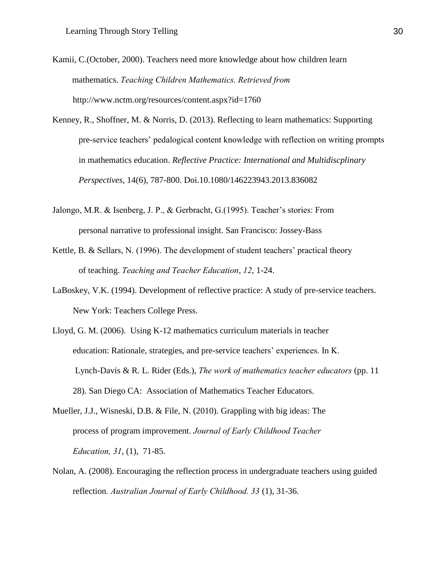Kamii, C.(October, 2000). Teachers need more knowledge about how children learn mathematics. *Teaching Children Mathematics. Retrieved from*  http://www.nctm.org/resources/content.aspx?id=1760

- Kenney, R., Shoffner, M. & Norris, D. (2013). Reflecting to learn mathematics: Supporting pre-service teachers' pedalogical content knowledge with reflection on writing prompts in mathematics education. *Reflective Practice: International and Multidiscplinary Perspectives,* 14(6), 787-800. Doi.10.1080/146223943.2013.836082
- Jalongo, M.R. & Isenberg, J. P., & Gerbracht, G.(1995). Teacher's stories: From personal narrative to professional insight. San Francisco: Jossey-Bass
- Kettle, B. & Sellars, N. (1996). The development of student teachers' practical theory of teaching. *Teaching and Teacher Education*, *12*, 1-24.
- LaBoskey, V.K. (1994). Development of reflective practice: A study of pre-service teachers. New York: Teachers College Press.
- Lloyd, G. M. (2006). Using K-12 mathematics curriculum materials in teacher education: Rationale, strategies, and pre-service teachers' experiences. In K. Lynch-Davis & R. L. Rider (Eds.), *The work of mathematics teacher educators* (pp. 11 28). San Diego CA: Association of Mathematics Teacher Educators.
- Mueller, J.J., Wisneski, D.B. & File, N. (2010). Grappling with big ideas: The process of program improvement. *Journal of Early Childhood Teacher Education, 31*, (1), 71-85.
- Nolan, A. (2008). Encouraging the reflection process in undergraduate teachers using guided reflection*. Australian Journal of Early Childhood. 33* (1), 31-36.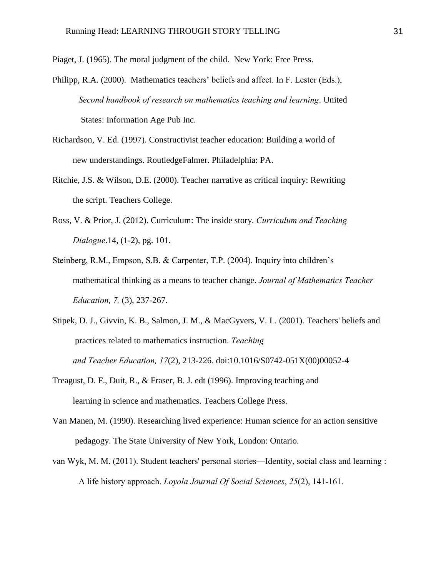Piaget, J. (1965). The moral judgment of the child. New York: Free Press.

- Philipp, R.A. (2000). Mathematics teachers' beliefs and affect. In F. Lester (Eds.), *Second handbook of research on mathematics teaching and learning*. United States: Information Age Pub Inc.
- Richardson, V. Ed. (1997). Constructivist teacher education: Building a world of new understandings. RoutledgeFalmer. Philadelphia: PA.
- Ritchie, J.S. & Wilson, D.E. (2000). Teacher narrative as critical inquiry: Rewriting the script. Teachers College.
- Ross, V. & Prior, J. (2012). Curriculum: The inside story. *Curriculum and Teaching Dialogue*.14, (1-2), pg. 101.
- Steinberg, R.M., Empson, S.B. & Carpenter, T.P. (2004). Inquiry into children's mathematical thinking as a means to teacher change. *Journal of Mathematics Teacher Education, 7,* (3), 237-267.
- Stipek, D. J., Givvin, K. B., Salmon, J. M., & MacGyvers, V. L. (2001). Teachers' beliefs and practices related to mathematics instruction. *Teaching and Teacher Education, 17*(2), 213-226. doi:10.1016/S0742-051X(00)00052-4
- Treagust, D. F., Duit, R., & Fraser, B. J. edt (1996). Improving teaching and learning in science and mathematics. Teachers College Press.
- Van Manen, M. (1990). Researching lived experience: Human science for an action sensitive pedagogy. The State University of New York, London: Ontario.
- van Wyk, M. M. (2011). Student teachers' personal stories—Identity, social class and learning : A life history approach. *Loyola Journal Of Social Sciences*, *25*(2), 141-161.